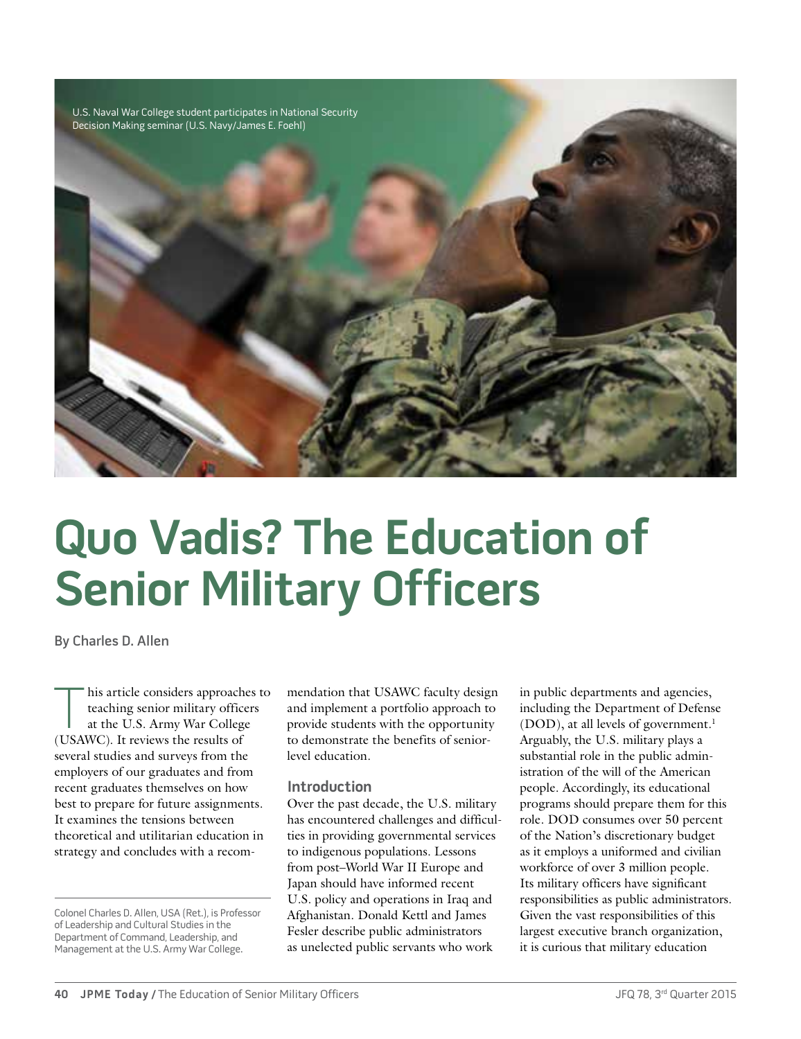

# **Quo Vadis? The Education of Senior Military Officers**

By Charles D. Allen

his article considers approaches to<br>teaching senior military officers<br>at the U.S. Army War College<br>(USAWC) It reviews the results of teaching senior military officers at the U.S. Army War College (USAWC). It reviews the results of several studies and surveys from the employers of our graduates and from recent graduates themselves on how best to prepare for future assignments. It examines the tensions between theoretical and utilitarian education in strategy and concludes with a recom-

mendation that USAWC faculty design and implement a portfolio approach to provide students with the opportunity to demonstrate the benefits of seniorlevel education.

#### **Introduction**

Over the past decade, the U.S. military has encountered challenges and difficulties in providing governmental services to indigenous populations. Lessons from post–World War II Europe and Japan should have informed recent U.S. policy and operations in Iraq and Afghanistan. Donald Kettl and James Fesler describe public administrators as unelected public servants who work

in public departments and agencies, including the Department of Defense (DOD), at all levels of government.<sup>1</sup> Arguably, the U.S. military plays a substantial role in the public administration of the will of the American people. Accordingly, its educational programs should prepare them for this role. DOD consumes over 50 percent of the Nation's discretionary budget as it employs a uniformed and civilian workforce of over 3 million people. Its military officers have significant responsibilities as public administrators. Given the vast responsibilities of this largest executive branch organization, it is curious that military education

Colonel Charles D. Allen, USA (Ret.), is Professor of Leadership and Cultural Studies in the Department of Command, Leadership, and Management at the U.S. Army War College.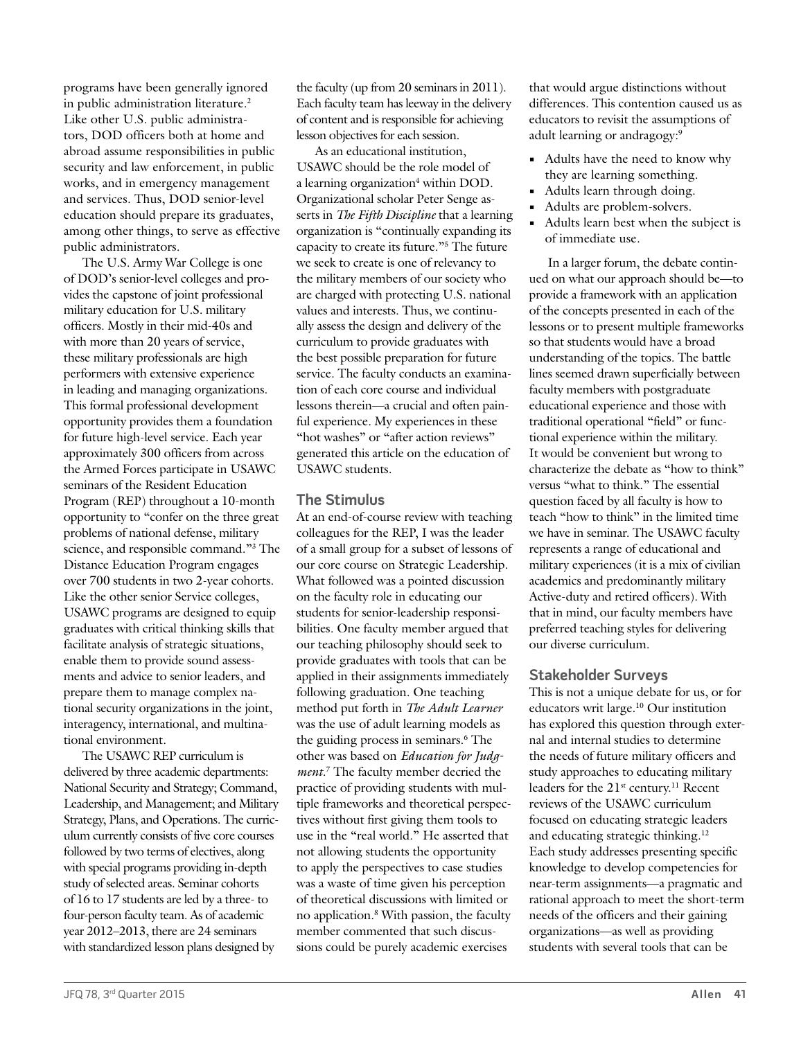programs have been generally ignored in public administration literature.<sup>2</sup> Like other U.S. public administrators, DOD officers both at home and abroad assume responsibilities in public security and law enforcement, in public works, and in emergency management and services. Thus, DOD senior-level education should prepare its graduates, among other things, to serve as effective public administrators.

The U.S. Army War College is one of DOD's senior-level colleges and provides the capstone of joint professional military education for U.S. military officers. Mostly in their mid-40s and with more than 20 years of service, these military professionals are high performers with extensive experience in leading and managing organizations. This formal professional development opportunity provides them a foundation for future high-level service. Each year approximately 300 officers from across the Armed Forces participate in USAWC seminars of the Resident Education Program (REP) throughout a 10-month opportunity to "confer on the three great problems of national defense, military science, and responsible command."3 The Distance Education Program engages over 700 students in two 2-year cohorts. Like the other senior Service colleges, USAWC programs are designed to equip graduates with critical thinking skills that facilitate analysis of strategic situations, enable them to provide sound assessments and advice to senior leaders, and prepare them to manage complex national security organizations in the joint, interagency, international, and multinational environment.

The USAWC REP curriculum is delivered by three academic departments: National Security and Strategy; Command, Leadership, and Management; and Military Strategy, Plans, and Operations. The curriculum currently consists of five core courses followed by two terms of electives, along with special programs providing in-depth study of selected areas. Seminar cohorts of 16 to 17 students are led by a three- to four-person faculty team. As of academic year 2012–2013, there are 24 seminars with standardized lesson plans designed by

the faculty (up from 20 seminars in 2011). Each faculty team has leeway in the delivery of content and is responsible for achieving lesson objectives for each session.

As an educational institution, USAWC should be the role model of a learning organization<sup>4</sup> within DOD. Organizational scholar Peter Senge asserts in *The Fifth Discipline* that a learning organization is "continually expanding its capacity to create its future."5 The future we seek to create is one of relevancy to the military members of our society who are charged with protecting U.S. national values and interests. Thus, we continually assess the design and delivery of the curriculum to provide graduates with the best possible preparation for future service. The faculty conducts an examination of each core course and individual lessons therein—a crucial and often painful experience. My experiences in these "hot washes" or "after action reviews" generated this article on the education of USAWC students.

### **The Stimulus**

At an end-of-course review with teaching colleagues for the REP, I was the leader of a small group for a subset of lessons of our core course on Strategic Leadership. What followed was a pointed discussion on the faculty role in educating our students for senior-leadership responsibilities. One faculty member argued that our teaching philosophy should seek to provide graduates with tools that can be applied in their assignments immediately following graduation. One teaching method put forth in *The Adult Learner* was the use of adult learning models as the guiding process in seminars.6 The other was based on *Education for Judgment*. 7 The faculty member decried the practice of providing students with multiple frameworks and theoretical perspectives without first giving them tools to use in the "real world." He asserted that not allowing students the opportunity to apply the perspectives to case studies was a waste of time given his perception of theoretical discussions with limited or no application.8 With passion, the faculty member commented that such discussions could be purely academic exercises

that would argue distinctions without differences. This contention caused us as educators to revisit the assumptions of adult learning or andragogy:9

- **•** Adults have the need to know why they are learning something.
- **•** Adults learn through doing.
- **•** Adults are problem-solvers.
- **•** Adults learn best when the subject is of immediate use.

In a larger forum, the debate continued on what our approach should be—to provide a framework with an application of the concepts presented in each of the lessons or to present multiple frameworks so that students would have a broad understanding of the topics. The battle lines seemed drawn superficially between faculty members with postgraduate educational experience and those with traditional operational "field" or functional experience within the military. It would be convenient but wrong to characterize the debate as "how to think" versus "what to think." The essential question faced by all faculty is how to teach "how to think" in the limited time we have in seminar. The USAWC faculty represents a range of educational and military experiences (it is a mix of civilian academics and predominantly military Active-duty and retired officers). With that in mind, our faculty members have preferred teaching styles for delivering our diverse curriculum.

## **Stakeholder Surveys**

This is not a unique debate for us, or for educators writ large.10 Our institution has explored this question through external and internal studies to determine the needs of future military officers and study approaches to educating military leaders for the 21<sup>st</sup> century.<sup>11</sup> Recent reviews of the USAWC curriculum focused on educating strategic leaders and educating strategic thinking.12 Each study addresses presenting specific knowledge to develop competencies for near-term assignments—a pragmatic and rational approach to meet the short-term needs of the officers and their gaining organizations—as well as providing students with several tools that can be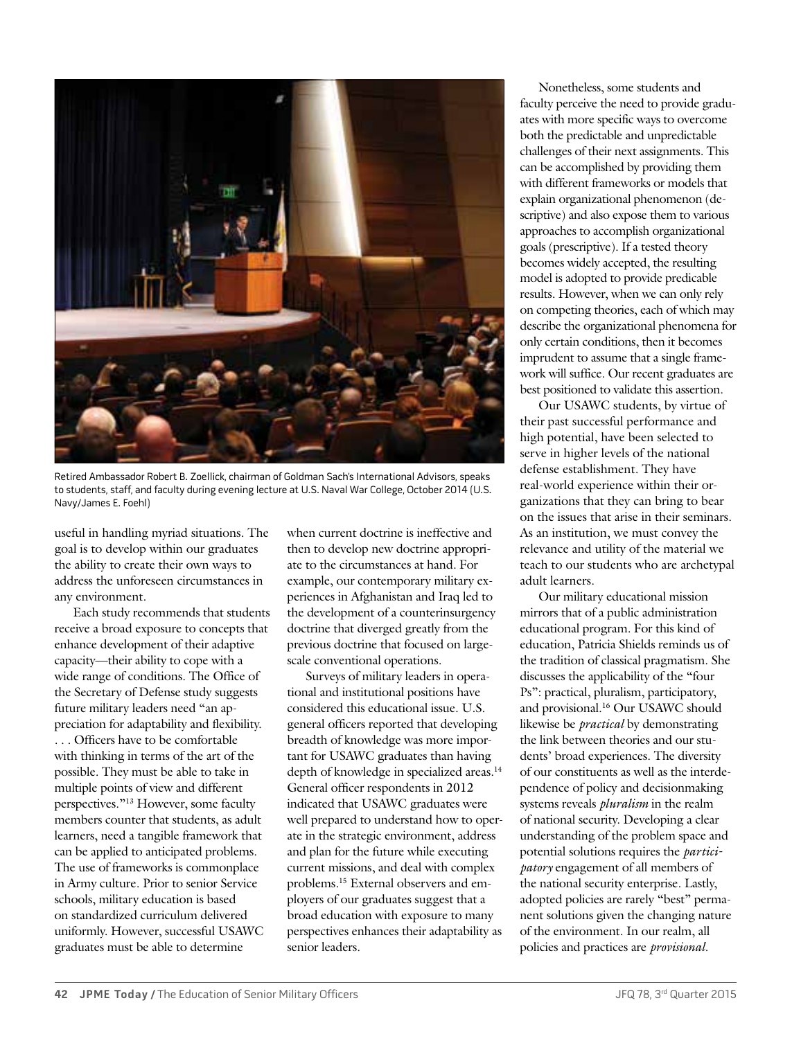

Retired Ambassador Robert B. Zoellick, chairman of Goldman Sach's International Advisors, speaks to students, staff, and faculty during evening lecture at U.S. Naval War College, October 2014 (U.S. Navy/James E. Foehl)

useful in handling myriad situations. The goal is to develop within our graduates the ability to create their own ways to address the unforeseen circumstances in any environment.

Each study recommends that students receive a broad exposure to concepts that enhance development of their adaptive capacity—their ability to cope with a wide range of conditions. The Office of the Secretary of Defense study suggests future military leaders need "an appreciation for adaptability and flexibility. . . . Officers have to be comfortable with thinking in terms of the art of the possible. They must be able to take in multiple points of view and different perspectives."13 However, some faculty members counter that students, as adult learners, need a tangible framework that can be applied to anticipated problems. The use of frameworks is commonplace in Army culture. Prior to senior Service schools, military education is based on standardized curriculum delivered uniformly. However, successful USAWC graduates must be able to determine

when current doctrine is ineffective and then to develop new doctrine appropriate to the circumstances at hand. For example, our contemporary military experiences in Afghanistan and Iraq led to the development of a counterinsurgency doctrine that diverged greatly from the previous doctrine that focused on largescale conventional operations.

Surveys of military leaders in operational and institutional positions have considered this educational issue. U.S. general officers reported that developing breadth of knowledge was more important for USAWC graduates than having depth of knowledge in specialized areas.<sup>14</sup> General officer respondents in 2012 indicated that USAWC graduates were well prepared to understand how to operate in the strategic environment, address and plan for the future while executing current missions, and deal with complex problems.15 External observers and employers of our graduates suggest that a broad education with exposure to many perspectives enhances their adaptability as senior leaders.

Nonetheless, some students and faculty perceive the need to provide graduates with more specific ways to overcome both the predictable and unpredictable challenges of their next assignments. This can be accomplished by providing them with different frameworks or models that explain organizational phenomenon (descriptive) and also expose them to various approaches to accomplish organizational goals (prescriptive). If a tested theory becomes widely accepted, the resulting model is adopted to provide predicable results. However, when we can only rely on competing theories, each of which may describe the organizational phenomena for only certain conditions, then it becomes imprudent to assume that a single framework will suffice. Our recent graduates are best positioned to validate this assertion.

Our USAWC students, by virtue of their past successful performance and high potential, have been selected to serve in higher levels of the national defense establishment. They have real-world experience within their organizations that they can bring to bear on the issues that arise in their seminars. As an institution, we must convey the relevance and utility of the material we teach to our students who are archetypal adult learners.

Our military educational mission mirrors that of a public administration educational program. For this kind of education, Patricia Shields reminds us of the tradition of classical pragmatism. She discusses the applicability of the "four Ps": practical, pluralism, participatory, and provisional.16 Our USAWC should likewise be *practical* by demonstrating the link between theories and our students' broad experiences. The diversity of our constituents as well as the interdependence of policy and decisionmaking systems reveals *pluralism* in the realm of national security. Developing a clear understanding of the problem space and potential solutions requires the *participatory* engagement of all members of the national security enterprise. Lastly, adopted policies are rarely "best" permanent solutions given the changing nature of the environment. In our realm, all policies and practices are *provisional.*